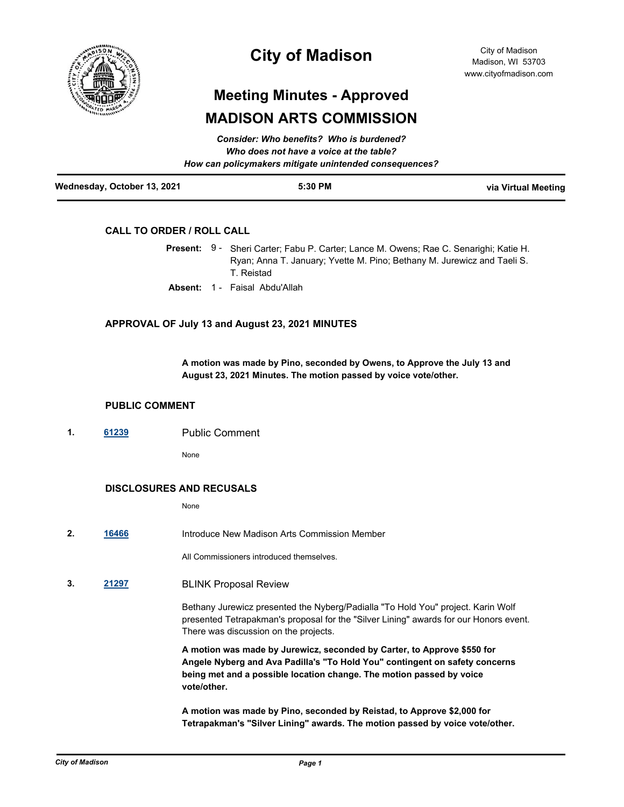

## **City of Madison**

# **Meeting Minutes - Approved MADISON ARTS COMMISSION**

| Wednesday, October 13, 2021 | 5:30 PM                                                | via Virtual Meeting |
|-----------------------------|--------------------------------------------------------|---------------------|
|                             | How can policymakers mitigate unintended consequences? |                     |
|                             | Who does not have a voice at the table?                |                     |
|                             | <b>Consider: Who benefits? Who is burdened?</b>        |                     |

#### **CALL TO ORDER / ROLL CALL**

|  | Present: 9 - Sheri Carter; Fabu P. Carter; Lance M. Owens; Rae C. Senarighi; Katie H. |
|--|---------------------------------------------------------------------------------------|
|  | Ryan; Anna T. January; Yvette M. Pino; Bethany M. Jurewicz and Taeli S.               |
|  | T. Reistad                                                                            |

**Absent:** 1 - Faisal Abdu'Allah

#### **APPROVAL OF July 13 and August 23, 2021 MINUTES**

**A motion was made by Pino, seconded by Owens, to Approve the July 13 and August 23, 2021 Minutes. The motion passed by voice vote/other.**

#### **PUBLIC COMMENT**

**1. [61239](http://madison.legistar.com/gateway.aspx?m=l&id=/matter.aspx?key=71974)** Public Comment

None

#### **DISCLOSURES AND RECUSALS**

None

**2. [16466](http://madison.legistar.com/gateway.aspx?m=l&id=/matter.aspx?key=18316)** Introduce New Madison Arts Commission Member

All Commissioners introduced themselves.

**3. [21297](http://madison.legistar.com/gateway.aspx?m=l&id=/matter.aspx?key=23572)** BLINK Proposal Review

Bethany Jurewicz presented the Nyberg/Padialla "To Hold You" project. Karin Wolf presented Tetrapakman's proposal for the "Silver Lining" awards for our Honors event. There was discussion on the projects.

**A motion was made by Jurewicz, seconded by Carter, to Approve \$550 for Angele Nyberg and Ava Padilla's "To Hold You" contingent on safety concerns being met and a possible location change. The motion passed by voice vote/other.**

**A motion was made by Pino, seconded by Reistad, to Approve \$2,000 for Tetrapakman's "Silver Lining" awards. The motion passed by voice vote/other.**